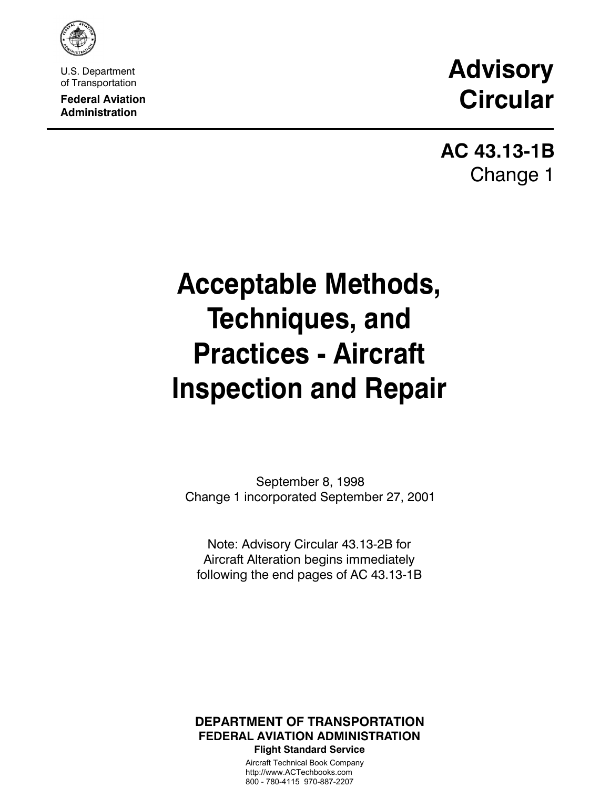

U.S. Department of Transportation

**Federal Aviation Administration**

# **Advisory Circular**

**AC 43.13-1B** Change 1

# **Acceptable Methods, Techniques, and Practices - Aircraft Inspection and Repair**

September 8, 1998 Change 1 incorporated September 27, 2001

Note: Advisory Circular 43.13-2B for Aircraft Alteration begins immediately following the end pages of AC 43.13-1B

### **DEPARTMENT OF TRANSPORTATION FEDERAL AVIATION ADMINISTRATION Flight Standard Service**

Aircraft Technical Book Company http://www.ACTechbooks.com 800 - 780-4115 970-887-2207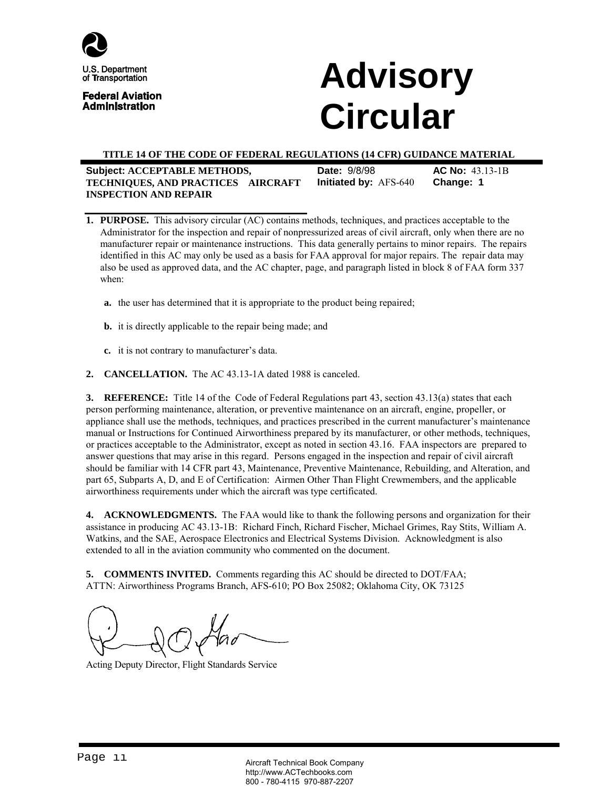

U.S. Department of Transportation

**Federal Aviation Administration** 

# **Advisory Circular**

#### **TITLE 14 OF THE CODE OF FEDERAL REGULATIONS (14 CFR) GUIDANCE MATERIAL**

| Subject: ACCEPTABLE METHODS,       | <b>Date: 9/8/98</b>          | $AC No: 43.13-1B$ |
|------------------------------------|------------------------------|-------------------|
| TECHNIQUES, AND PRACTICES-AIRCRAFT | <b>Initiated by: AFS-640</b> | Change: 1         |
| <b>INSPECTION AND REPAIR</b>       |                              |                   |

- **1. PURPOSE.** This advisory circular (AC) contains methods, techniques, and practices acceptable to the Administrator for the inspection and repair of nonpressurized areas of civil aircraft, only when there are no manufacturer repair or maintenance instructions. This data generally pertains to minor repairs. The repairs identified in this AC may only be used as a basis for FAA approval for major repairs. The repair data may also be used as approved data, and the AC chapter, page, and paragraph listed in block 8 of FAA form 337 when:
	- **a.** the user has determined that it is appropriate to the product being repaired;
	- **b.** it is directly applicable to the repair being made; and
	- **c.** it is not contrary to manufacturer's data.
- **2. CANCELLATION.** The AC 43.13-1A dated 1988 is canceled.

**3. REFERENCE:** Title 14 of the Code of Federal Regulations part 43, section 43.13(a) states that each person performing maintenance, alteration, or preventive maintenance on an aircraft, engine, propeller, or appliance shall use the methods, techniques, and practices prescribed in the current manufacturer's maintenance manual or Instructions for Continued Airworthiness prepared by its manufacturer, or other methods, techniques, or practices acceptable to the Administrator, except as noted in section 43.16. FAA inspectors are prepared to answer questions that may arise in this regard. Persons engaged in the inspection and repair of civil aircraft should be familiar with 14 CFR part 43, Maintenance, Preventive Maintenance, Rebuilding, and Alteration, and part 65, Subparts A, D, and E of Certification: Airmen Other Than Flight Crewmembers, and the applicable airworthiness requirements under which the aircraft was type certificated.

**4. ACKNOWLEDGMENTS.** The FAA would like to thank the following persons and organization for their assistance in producing AC 43.13-1B: Richard Finch, Richard Fischer, Michael Grimes, Ray Stits, William A. Watkins, and the SAE, Aerospace Electronics and Electrical Systems Division. Acknowledgment is also extended to all in the aviation community who commented on the document.

**5. COMMENTS INVITED.** Comments regarding this AC should be directed to DOT/FAA; ATTN: Airworthiness Programs Branch, AFS-610; PO Box 25082; Oklahoma City, OK 73125

Acting Deputy Director, Flight Standards Service

Page ii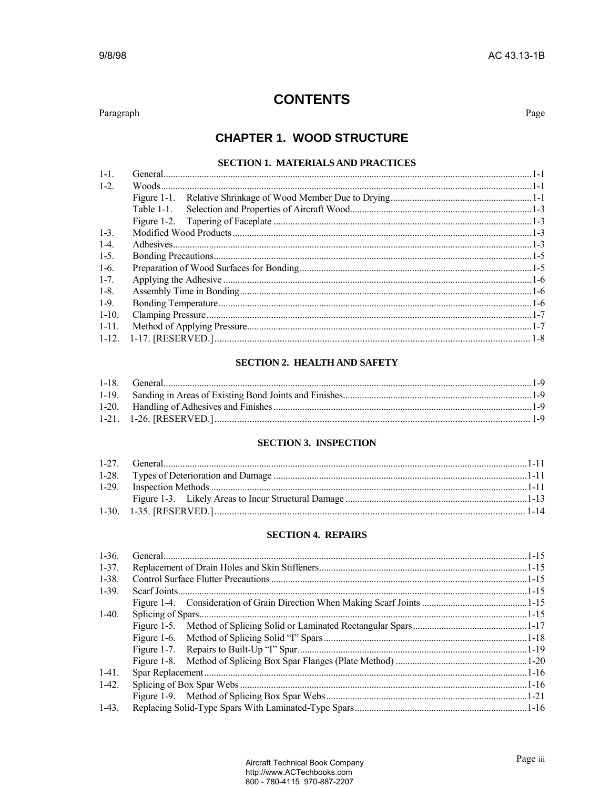### **CONTENTS**

Paragraph

Page

### **CHAPTER 1. WOOD STRUCTURE**

#### SECTION 1. MATERIALS AND PRACTICES

| $1 - 1$ . |  |
|-----------|--|
| $1 - 2$ . |  |
|           |  |
|           |  |
|           |  |
| $1 - 3$   |  |
| $1 - 4$ . |  |
| $1-5.$    |  |
| $1-6.$    |  |
| $1 - 7$ . |  |
| $1 - 8$ . |  |
| $1-9.$    |  |
| $1-10.$   |  |
| $1-11.$   |  |
|           |  |

### **SECTION 2. HEALTH AND SAFETY**

#### **SECTION 3. INSPECTION**

#### **SECTION 4. REPAIRS**

| $1-36.$    |  |
|------------|--|
| $1 - 37$ . |  |
| $1-38.$    |  |
| $1 - 39$ . |  |
|            |  |
| $1-40.$    |  |
|            |  |
|            |  |
|            |  |
|            |  |
| $1-41.$    |  |
| $1-42.$    |  |
|            |  |
| $1-43.$    |  |
|            |  |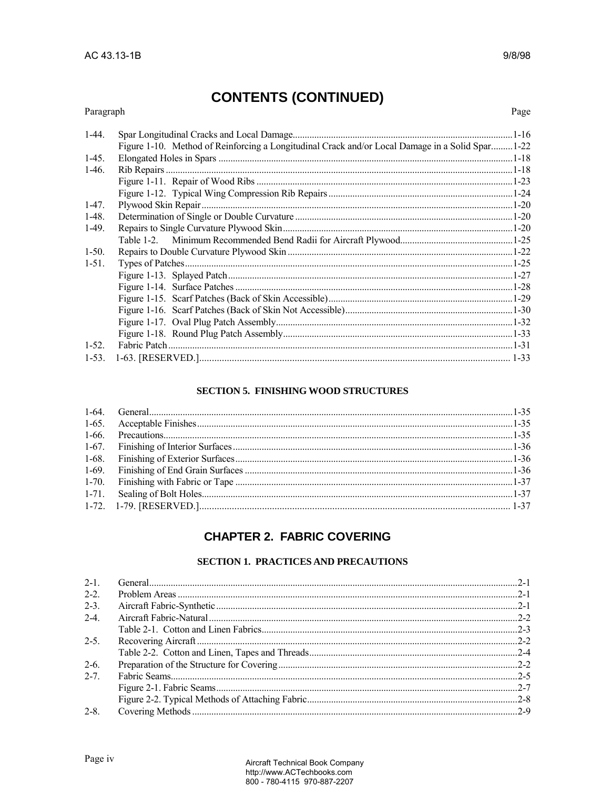### Paragraph

Page

| $1-44.$ |                                                                                                  |  |
|---------|--------------------------------------------------------------------------------------------------|--|
|         | Figure 1-10. Method of Reinforcing a Longitudinal Crack and/or Local Damage in a Solid Spar 1-22 |  |
|         |                                                                                                  |  |
| $1-45.$ |                                                                                                  |  |
| $1-46.$ |                                                                                                  |  |
|         |                                                                                                  |  |
|         |                                                                                                  |  |
| $1-47.$ |                                                                                                  |  |
| $1-48.$ |                                                                                                  |  |
| $1-49.$ |                                                                                                  |  |
|         |                                                                                                  |  |
| $1-50.$ |                                                                                                  |  |
| $1-51.$ |                                                                                                  |  |
|         |                                                                                                  |  |
|         |                                                                                                  |  |
|         |                                                                                                  |  |
|         |                                                                                                  |  |
|         |                                                                                                  |  |
|         |                                                                                                  |  |
| $1-52.$ |                                                                                                  |  |
|         |                                                                                                  |  |

#### **SECTION 5. FINISHING WOOD STRUCTURES**

### **CHAPTER 2. FABRIC COVERING**

### **SECTION 1. PRACTICES AND PRECAUTIONS**

| $2 - 1$ . |  |
|-----------|--|
| $2 - 2$ . |  |
| $2 - 3$ . |  |
| $2-4$     |  |
|           |  |
| $2 - 5$   |  |
|           |  |
| $2-6.$    |  |
| $2 - 7$   |  |
|           |  |
|           |  |
| $2 - 8$ . |  |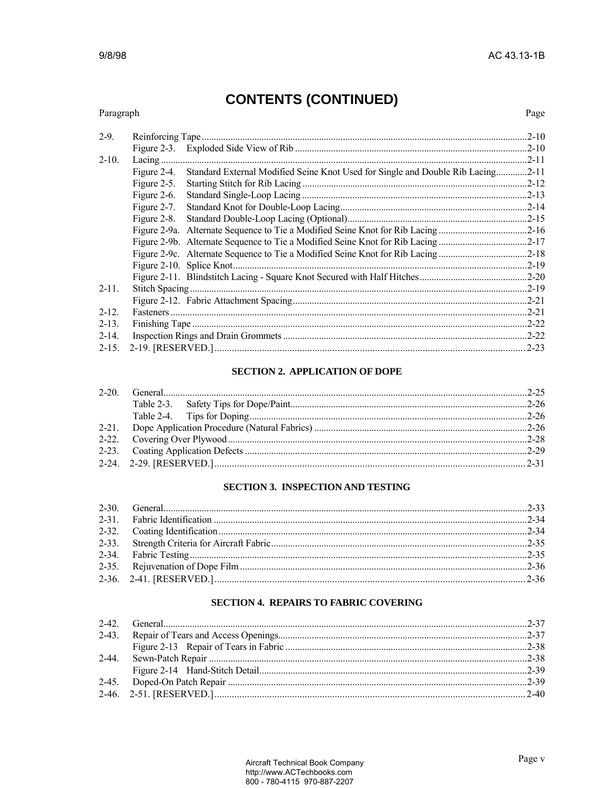Page

# **CONTENTS (CONTINUED)**

| Paragraph  |                  |                                                                                 | Page      |
|------------|------------------|---------------------------------------------------------------------------------|-----------|
| $2-9.$     | Reinforcing Tape |                                                                                 |           |
|            | Figure 2-3.      |                                                                                 | $.2 - 10$ |
| $2 - 10.$  |                  |                                                                                 | $.2 - 11$ |
|            | Figure 2-4.      | Standard External Modified Seine Knot Used for Single and Double Rib Lacing2-11 |           |
|            | Figure 2-5.      |                                                                                 |           |
|            | Figure 2-6.      |                                                                                 |           |
|            | Figure 2-7.      |                                                                                 | $.2 - 14$ |
|            | Figure 2-8.      |                                                                                 |           |
|            |                  |                                                                                 |           |
|            |                  | Figure 2-9b. Alternate Sequence to Tie a Modified Seine Knot for Rib Lacing2-17 |           |
|            |                  | Figure 2-9c. Alternate Sequence to Tie a Modified Seine Knot for Rib Lacing2-18 |           |
|            |                  |                                                                                 | $.2 - 19$ |
|            |                  |                                                                                 |           |
| $2 - 11$ . |                  |                                                                                 |           |
|            |                  |                                                                                 |           |
| $2 - 12$ . |                  |                                                                                 | $.2 - 21$ |
| $2 - 13$ . |                  |                                                                                 |           |
| $2 - 14.$  |                  |                                                                                 |           |
|            |                  |                                                                                 | $2 - 23$  |

#### **SECTION 2. APPLICATION OF DOPE**

#### **SECTION 3. INSPECTION AND TESTING**

### **SECTION 4. REPAIRS TO FABRIC COVERING**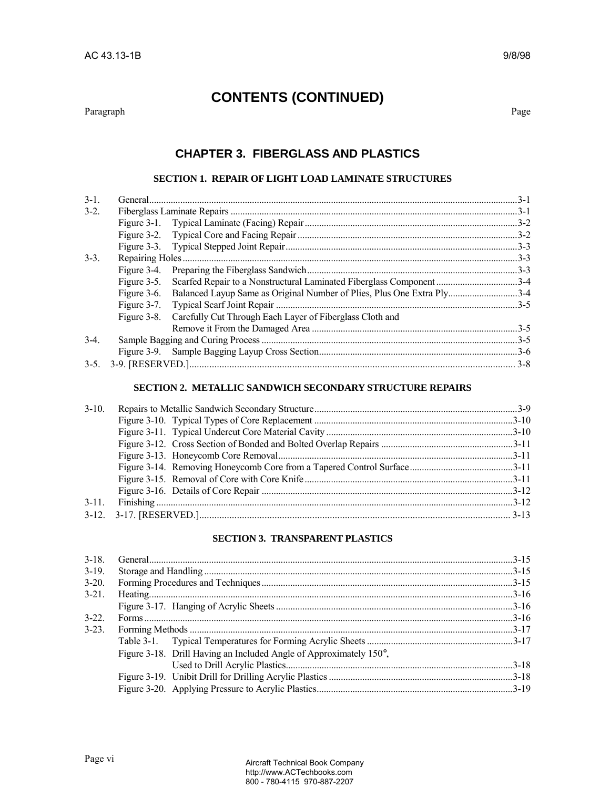#### Paragraph Page

## **CONTENTS (CONTINUED)**

### **CHAPTER 3. FIBERGLASS AND PLASTICS**

#### **SECTION 1. REPAIR OF LIGHT LOAD LAMINATE STRUCTURES**

| $3-1$ . |                                                                                    |  |
|---------|------------------------------------------------------------------------------------|--|
| $3-2.$  |                                                                                    |  |
|         |                                                                                    |  |
|         |                                                                                    |  |
|         |                                                                                    |  |
| $3-3$ . |                                                                                    |  |
|         |                                                                                    |  |
|         |                                                                                    |  |
|         | Figure 3-6. Balanced Layup Same as Original Number of Plies, Plus One Extra Ply3-4 |  |
|         |                                                                                    |  |
|         | Figure 3-8. Carefully Cut Through Each Layer of Fiberglass Cloth and               |  |
|         |                                                                                    |  |
| $3-4$   |                                                                                    |  |
|         |                                                                                    |  |
|         |                                                                                    |  |
|         |                                                                                    |  |

#### **SECTION 2. METALLIC SANDWICH SECONDARY STRUCTURE REPAIRS**

#### **SECTION 3. TRANSPARENT PLASTICS**

| $3 - 18$   |                                                                    |  |
|------------|--------------------------------------------------------------------|--|
| $3-19$ .   |                                                                    |  |
| $3 - 20$ . |                                                                    |  |
| $3 - 21$ . |                                                                    |  |
|            |                                                                    |  |
| $3 - 22$   |                                                                    |  |
| $3 - 23$ . |                                                                    |  |
|            |                                                                    |  |
|            | Figure 3-18. Drill Having an Included Angle of Approximately 150°, |  |
|            |                                                                    |  |
|            |                                                                    |  |
|            |                                                                    |  |
|            |                                                                    |  |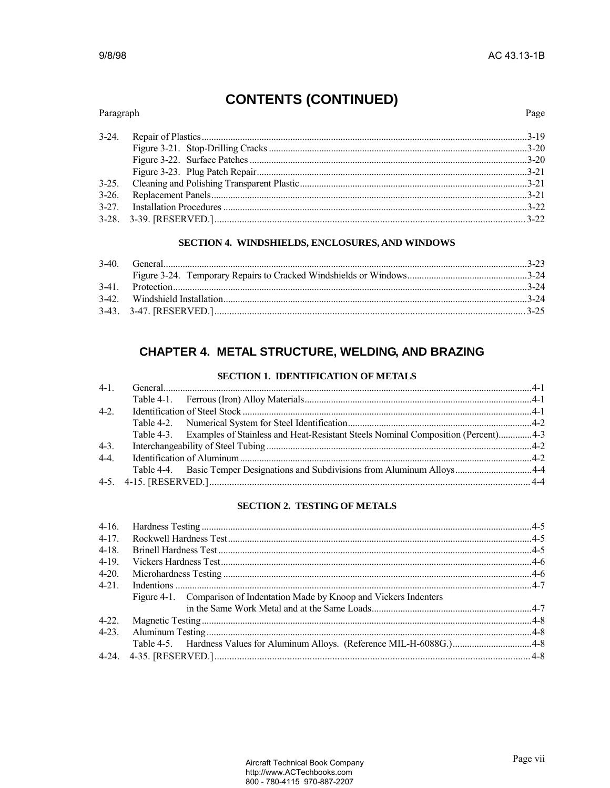#### Paragraph Page  $3 - 24$ .  $3-25.$  $3-26.$  $3 - 27$ .

#### SECTION 4. WINDSHIELDS, ENCLOSURES, AND WINDOWS

| $3-41$ |  |
|--------|--|
|        |  |
|        |  |

### **CHAPTER 4. METAL STRUCTURE, WELDING, AND BRAZING**

#### **SECTION 1. IDENTIFICATION OF METALS**

| $4-2.$ |                                                                                             |  |
|--------|---------------------------------------------------------------------------------------------|--|
|        |                                                                                             |  |
|        | Table 4-3. Examples of Stainless and Heat-Resistant Steels Nominal Composition (Percent)4-3 |  |
| $4-3.$ |                                                                                             |  |
| $4-4.$ |                                                                                             |  |
|        | Table 4-4. Basic Temper Designations and Subdivisions from Aluminum Alloys4-4               |  |
|        |                                                                                             |  |
|        |                                                                                             |  |

#### **SECTION 2. TESTING OF METALS**

| $4-17$ .   |                                                                           |  |
|------------|---------------------------------------------------------------------------|--|
| $4 - 18$ . |                                                                           |  |
| $4 - 19$ . |                                                                           |  |
| $4 - 20.$  |                                                                           |  |
| $4-21.$    |                                                                           |  |
|            | Figure 4-1. Comparison of Indentation Made by Knoop and Vickers Indenters |  |
|            |                                                                           |  |
| $4-22.$    |                                                                           |  |
|            |                                                                           |  |
|            |                                                                           |  |
|            |                                                                           |  |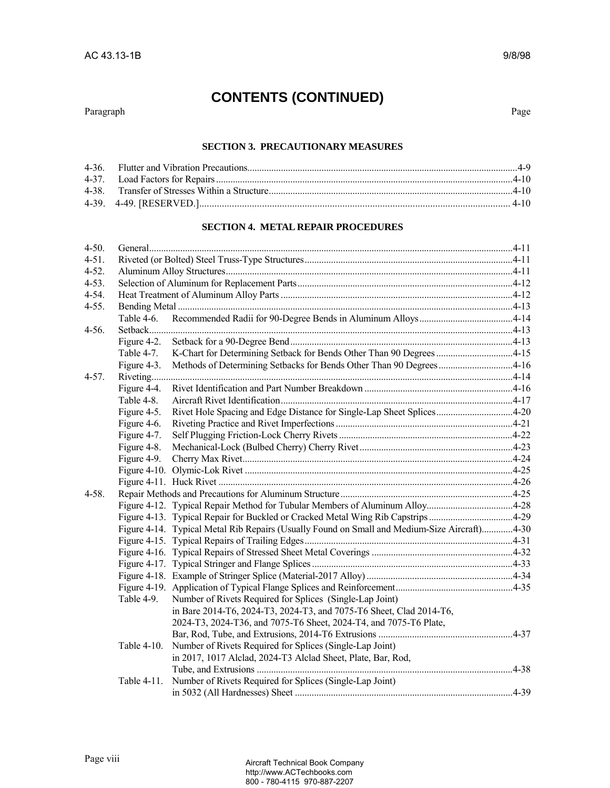Paragraph Page

#### **SECTION 3. PRECAUTIONARY MEASURES**

#### **SECTION 4. METAL REPAIR PROCEDURES**

| Table 4-6.     |                                                                       |                                                                                                                                                                                                                                             |
|----------------|-----------------------------------------------------------------------|---------------------------------------------------------------------------------------------------------------------------------------------------------------------------------------------------------------------------------------------|
|                |                                                                       |                                                                                                                                                                                                                                             |
| Figure 4-2.    |                                                                       |                                                                                                                                                                                                                                             |
| Table 4-7.     |                                                                       |                                                                                                                                                                                                                                             |
| Figure 4-3.    | Methods of Determining Setbacks for Bends Other Than 90 Degrees4-16   |                                                                                                                                                                                                                                             |
|                |                                                                       |                                                                                                                                                                                                                                             |
| Figure 4-4.    |                                                                       |                                                                                                                                                                                                                                             |
| Table 4-8.     |                                                                       |                                                                                                                                                                                                                                             |
| Figure 4-5.    | Rivet Hole Spacing and Edge Distance for Single-Lap Sheet Splices4-20 |                                                                                                                                                                                                                                             |
| Figure 4-6.    |                                                                       |                                                                                                                                                                                                                                             |
| Figure 4-7.    |                                                                       |                                                                                                                                                                                                                                             |
| Figure 4-8.    |                                                                       |                                                                                                                                                                                                                                             |
| Figure 4-9.    |                                                                       |                                                                                                                                                                                                                                             |
|                |                                                                       |                                                                                                                                                                                                                                             |
|                |                                                                       |                                                                                                                                                                                                                                             |
|                |                                                                       |                                                                                                                                                                                                                                             |
|                |                                                                       |                                                                                                                                                                                                                                             |
|                |                                                                       |                                                                                                                                                                                                                                             |
|                |                                                                       |                                                                                                                                                                                                                                             |
|                |                                                                       |                                                                                                                                                                                                                                             |
|                |                                                                       |                                                                                                                                                                                                                                             |
|                |                                                                       |                                                                                                                                                                                                                                             |
|                |                                                                       |                                                                                                                                                                                                                                             |
|                |                                                                       |                                                                                                                                                                                                                                             |
| Table 4-9.     |                                                                       |                                                                                                                                                                                                                                             |
|                | in Bare 2014-T6, 2024-T3, 2024-T3, and 7075-T6 Sheet, Clad 2014-T6,   |                                                                                                                                                                                                                                             |
|                | 2024-T3, 2024-T36, and 7075-T6 Sheet, 2024-T4, and 7075-T6 Plate,     |                                                                                                                                                                                                                                             |
|                |                                                                       |                                                                                                                                                                                                                                             |
| Table $4-10$ . | Number of Rivets Required for Splices (Single-Lap Joint)              |                                                                                                                                                                                                                                             |
|                | in 2017, 1017 Alclad, 2024-T3 Alclad Sheet, Plate, Bar, Rod,          |                                                                                                                                                                                                                                             |
|                |                                                                       |                                                                                                                                                                                                                                             |
| Table 4-11.    | Number of Rivets Required for Splices (Single-Lap Joint)              |                                                                                                                                                                                                                                             |
|                |                                                                       |                                                                                                                                                                                                                                             |
|                |                                                                       | Figure 4-13. Typical Repair for Buckled or Cracked Metal Wing Rib Capstrips4-29<br>Figure 4-14. Typical Metal Rib Repairs (Usually Found on Small and Medium-Size Aircraft)4-30<br>Number of Rivets Required for Splices (Single-Lap Joint) |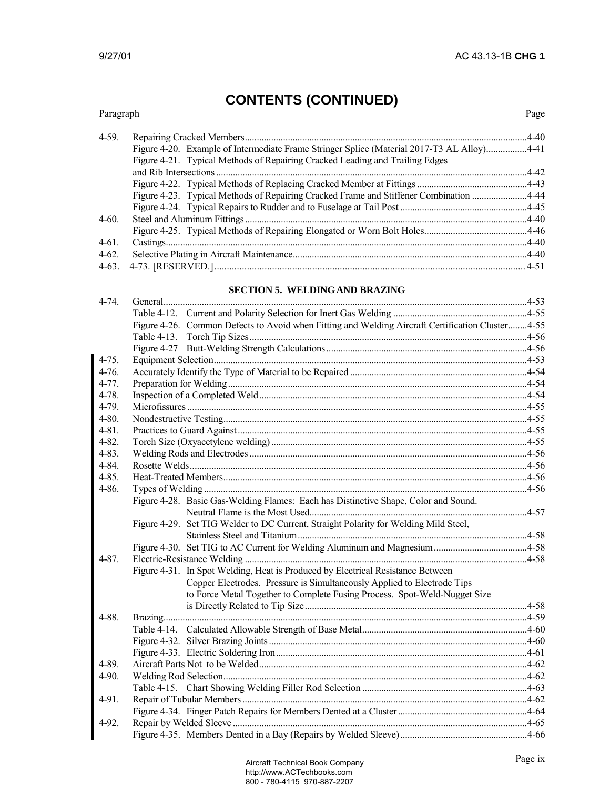#### Paragraph Page 4-59. Repairing Cracked Members......................................................................................................................4-40 Figure 4-20. Example of Intermediate Frame Stringer Splice (Material 2017-T3 AL Alloy).................4-41 Figure 4-21. Typical Methods of Repairing Cracked Leading and Trailing Edges and Rib Intersections ..................................................................................................................................4-42 Figure 4-22. Typical Methods of Replacing Cracked Member at Fittings ..............................................4-43 Figure 4-23. Typical Methods of Repairing Cracked Frame and Stiffener Combination .......................4-44 Figure 4-24. Typical Repairs to Rudder and to Fuselage at Tail Post .....................................................4-45 4-60. Steel and Aluminum Fittings......................................................................................................................4-40 Figure 4-25. Typical Methods of Repairing Elongated or Worn Bolt Holes...........................................4-46 4-61. Castings.......................................................................................................................................................4-40 4-62. Selective Plating in Aircraft Maintenance..................................................................................................4-40 4-63.4-73. [RESERVED.]............................................................................................................................4-51

#### **SECTION 5. WELDING AND BRAZING**

|            | Figure 4-26. Common Defects to Avoid when Fitting and Welding Aircraft Certification Cluster4-55 |  |
|------------|--------------------------------------------------------------------------------------------------|--|
|            |                                                                                                  |  |
|            |                                                                                                  |  |
| $4 - 75.$  |                                                                                                  |  |
| $4-76.$    |                                                                                                  |  |
| $4 - 77.$  |                                                                                                  |  |
| $4 - 78.$  |                                                                                                  |  |
| $4-79.$    |                                                                                                  |  |
| $4 - 80.$  |                                                                                                  |  |
| $4 - 81$ . |                                                                                                  |  |
| $4 - 82.$  |                                                                                                  |  |
| $4 - 83.$  |                                                                                                  |  |
| $4 - 84.$  |                                                                                                  |  |
| $4 - 85.$  |                                                                                                  |  |
| $4 - 86.$  |                                                                                                  |  |
|            | Figure 4-28. Basic Gas-Welding Flames: Each has Distinctive Shape, Color and Sound.              |  |
|            |                                                                                                  |  |
|            | Figure 4-29. Set TIG Welder to DC Current, Straight Polarity for Welding Mild Steel,             |  |
|            |                                                                                                  |  |
|            |                                                                                                  |  |
| $4 - 87.$  |                                                                                                  |  |
|            | Figure 4-31. In Spot Welding, Heat is Produced by Electrical Resistance Between                  |  |
|            | Copper Electrodes. Pressure is Simultaneously Applied to Electrode Tips                          |  |
|            | to Force Metal Together to Complete Fusing Process. Spot-Weld-Nugget Size                        |  |
|            |                                                                                                  |  |
| 4-88.      |                                                                                                  |  |
|            |                                                                                                  |  |
|            |                                                                                                  |  |
|            |                                                                                                  |  |
| 4-89.      |                                                                                                  |  |
| 4-90.      |                                                                                                  |  |
|            |                                                                                                  |  |
| 4-91.      |                                                                                                  |  |
|            |                                                                                                  |  |
| 4-92.      |                                                                                                  |  |
|            |                                                                                                  |  |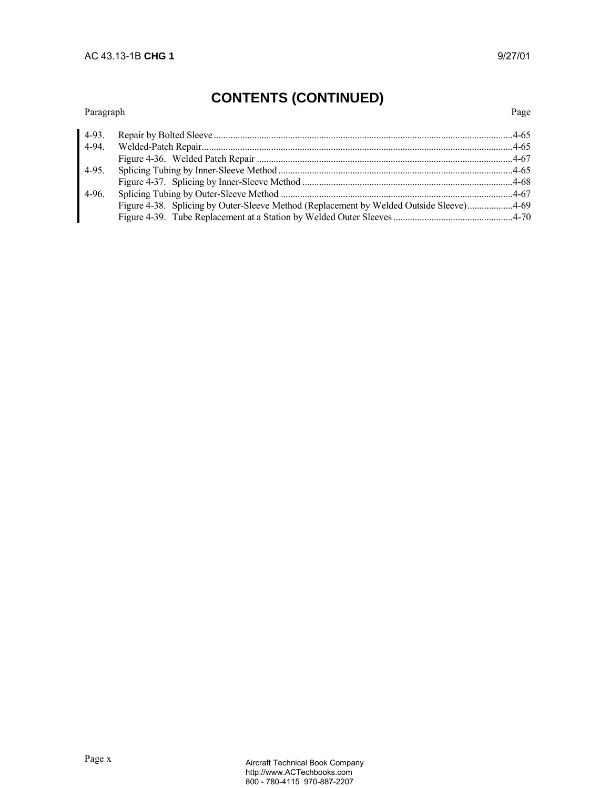#### Paragraph Page

| 4-94. |                                                                                         |  |
|-------|-----------------------------------------------------------------------------------------|--|
|       |                                                                                         |  |
|       |                                                                                         |  |
|       |                                                                                         |  |
|       |                                                                                         |  |
|       | Figure 4-38. Splicing by Outer-Sleeve Method (Replacement by Welded Outside Sleeve)4-69 |  |
|       |                                                                                         |  |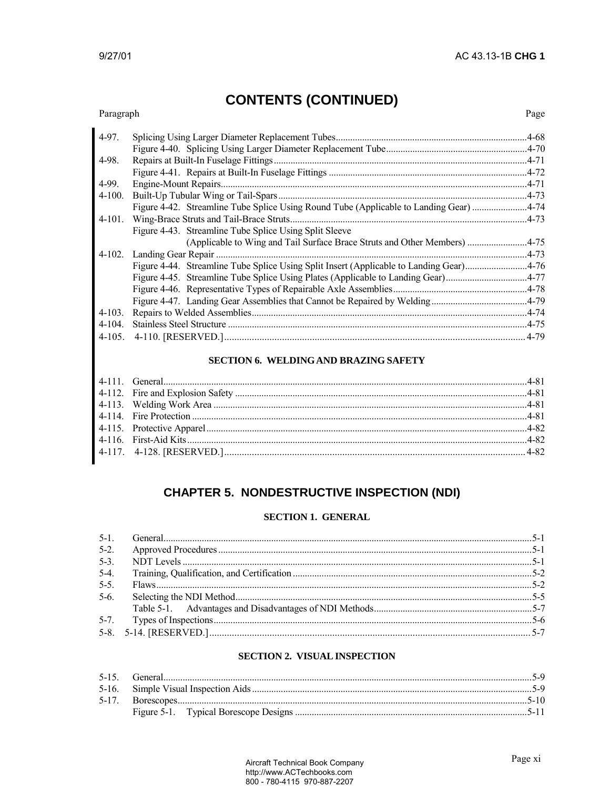Page

## **CONTENTS (CONTINUED)**

### Paragraph  $4-97.$

|            |                                                                                        | .4-70     |
|------------|----------------------------------------------------------------------------------------|-----------|
| 4-98.      |                                                                                        | $.4 - 71$ |
|            |                                                                                        |           |
| 4-99.      |                                                                                        | $.4 - 71$ |
| $4-100.$   |                                                                                        | $-4 - 73$ |
|            | Figure 4-42. Streamline Tube Splice Using Round Tube (Applicable to Landing Gear) 4-74 |           |
| $4-101.$   |                                                                                        | .4-73     |
|            | Figure 4-43. Streamline Tube Splice Using Split Sleeve                                 |           |
|            |                                                                                        | $.4 - 75$ |
|            |                                                                                        | $-4 - 73$ |
|            | Figure 4-44. Streamline Tube Splice Using Split Insert (Applicable to Landing Gear)    | $-4 - 76$ |
|            | Figure 4-45. Streamline Tube Splice Using Plates (Applicable to Landing Gear)          | $.4 - 77$ |
|            |                                                                                        | $.4 - 78$ |
|            |                                                                                        | $.4 - 79$ |
| $4 - 103.$ |                                                                                        | $-4 - 74$ |
| 4-104.     |                                                                                        | .4-75     |
|            |                                                                                        | $4 - 79$  |
|            |                                                                                        |           |

#### **SECTION 6. WELDING AND BRAZING SAFETY**

## **CHAPTER 5. NONDESTRUCTIVE INSPECTION (NDI)**

#### **SECTION 1. GENERAL**

| $5-2.$  |  |
|---------|--|
| $5-3$ . |  |
| $5-4$ . |  |
| $5 - 5$ |  |
| $5-6.$  |  |
|         |  |
|         |  |
|         |  |

#### **SECTION 2. VISUAL INSPECTION**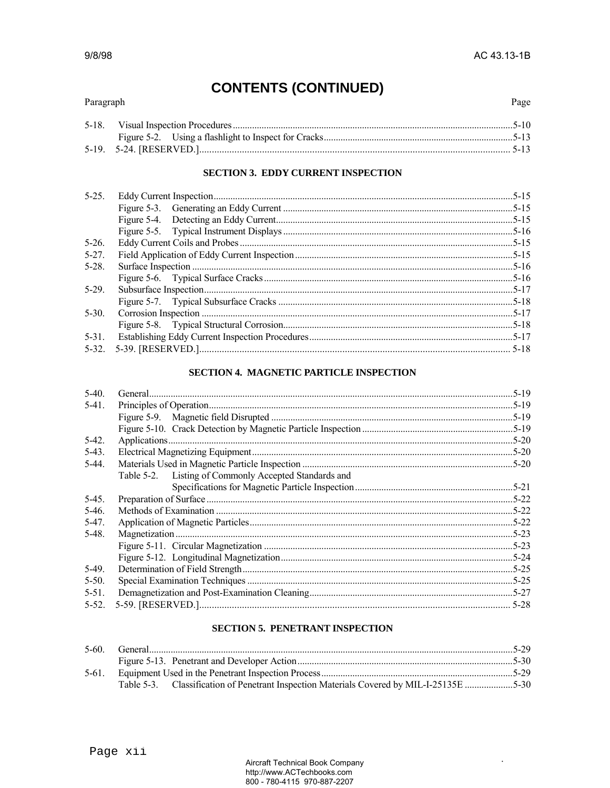$\ddot{\phantom{a}}$ 

# **CONTENTS (CONTINUED)**

### Paragraph

Page

### **SECTION 3. EDDY CURRENT INSPECTION**

| $5 - 25$ . |  |
|------------|--|
|            |  |
|            |  |
|            |  |
| $5 - 26$   |  |
| $5 - 27$ . |  |
| $5-28.$    |  |
|            |  |
| $5-29$ .   |  |
|            |  |
| $5 - 30$ . |  |
|            |  |
| $5-31$ .   |  |
|            |  |

### SECTION 4. MAGNETIC PARTICLE INSPECTION

| Table 5-2. Listing of Commonly Accepted Standards and |  |
|-------------------------------------------------------|--|
|                                                       |  |
|                                                       |  |
|                                                       |  |
|                                                       |  |
|                                                       |  |
|                                                       |  |
|                                                       |  |
|                                                       |  |
|                                                       |  |
|                                                       |  |
|                                                       |  |
|                                                       |  |

#### **SECTION 5. PENETRANT INSPECTION**

| $5-61$ |                                                                                          |  |
|--------|------------------------------------------------------------------------------------------|--|
|        | Table 5-3. Classification of Penetrant Inspection Materials Covered by MIL-I-25135E 5-30 |  |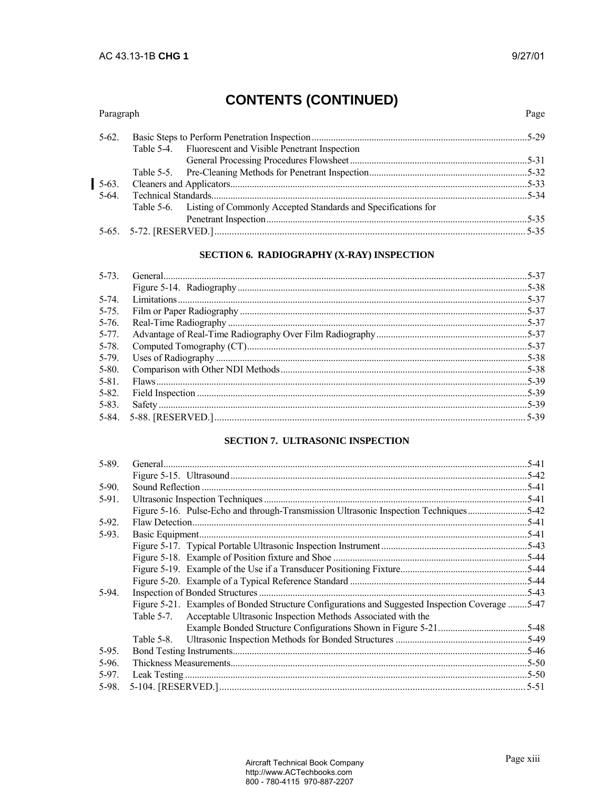Paragraph

Page

# **CONTENTS (CONTINUED)**

| $5-62.$ |                                                                          |  |
|---------|--------------------------------------------------------------------------|--|
|         | Table 5-4. Fluorescent and Visible Penetrant Inspection                  |  |
|         |                                                                          |  |
|         |                                                                          |  |
| $5-63.$ |                                                                          |  |
| $5-64.$ |                                                                          |  |
|         | Table 5-6. Listing of Commonly Accepted Standards and Specifications for |  |
|         |                                                                          |  |
|         |                                                                          |  |

#### SECTION 6. RADIOGRAPHY (X-RAY) INSPECTION

| $5 - 73$   |  |
|------------|--|
|            |  |
| $5-74$ .   |  |
| $5 - 75$ . |  |
| $5 - 76$   |  |
| $5 - 77$ . |  |
| 5-78.      |  |
| 5-79.      |  |
| $5 - 80.$  |  |
| $5 - 81$ . |  |
| $5 - 82.$  |  |
| $5 - 83$ . |  |
|            |  |
|            |  |

#### SECTION 7. ULTRASONIC INSPECTION

| $5 - 89.$ |                                                                                                 | $.5 - 41$ |
|-----------|-------------------------------------------------------------------------------------------------|-----------|
|           |                                                                                                 | $.5 - 42$ |
| $5-90.$   |                                                                                                 | $.5 - 41$ |
| 5-91.     |                                                                                                 |           |
|           | Figure 5-16. Pulse-Echo and through-Transmission Ultrasonic Inspection Techniques               | $.5 - 42$ |
| 5-92.     |                                                                                                 | .5-41     |
| 5-93.     |                                                                                                 | .5-41     |
|           |                                                                                                 | $.5 - 43$ |
|           |                                                                                                 | $.5 - 44$ |
|           |                                                                                                 |           |
|           |                                                                                                 |           |
| 5-94.     |                                                                                                 | .5-43     |
|           | Figure 5-21. Examples of Bonded Structure Configurations and Suggested Inspection Coverage 5-47 |           |
|           | Acceptable Ultrasonic Inspection Methods Associated with the<br>Table 5-7.                      |           |
|           |                                                                                                 | $.5 - 48$ |
|           | Table 5-8.                                                                                      | .5-49     |
| 5-95.     |                                                                                                 | $.5 - 46$ |
| 5-96.     |                                                                                                 | .5-50     |
| $5-97.$   |                                                                                                 |           |
|           |                                                                                                 |           |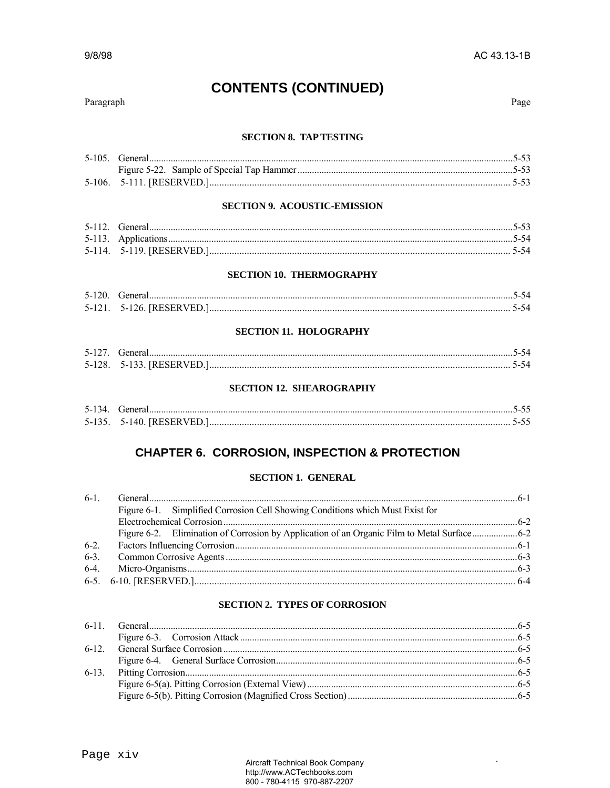$\ddot{\phantom{0}}$ 

#### 9/8/98

# **CONTENTS (CONTINUED)**

#### Paragraph

Page

#### **SECTION 8. TAP TESTING**

#### **SECTION 9. ACOUSTIC-EMISSION**

#### **SECTION 10. THERMOGRAPHY**

| $5-120$ . General. |                                |  |
|--------------------|--------------------------------|--|
|                    | 5-121 .- - 5-126. [RESERVED.]. |  |

#### **SECTION 11. HOLOGRAPHY**

| 5-127. General             |  |
|----------------------------|--|
| 5-128.—5-133. [RESERVED.]. |  |

#### **SECTION 12. SHEAROGRAPHY**

### **CHAPTER 6. CORROSION, INSPECTION & PROTECTION**

#### **SECTION 1. GENERAL**

|        | Figure 6-1. Simplified Corrosion Cell Showing Conditions which Must Exist for |  |
|--------|-------------------------------------------------------------------------------|--|
|        |                                                                               |  |
|        |                                                                               |  |
| $6-2.$ |                                                                               |  |
|        |                                                                               |  |
|        |                                                                               |  |
|        |                                                                               |  |
|        |                                                                               |  |

#### **SECTION 2. TYPES OF CORROSION**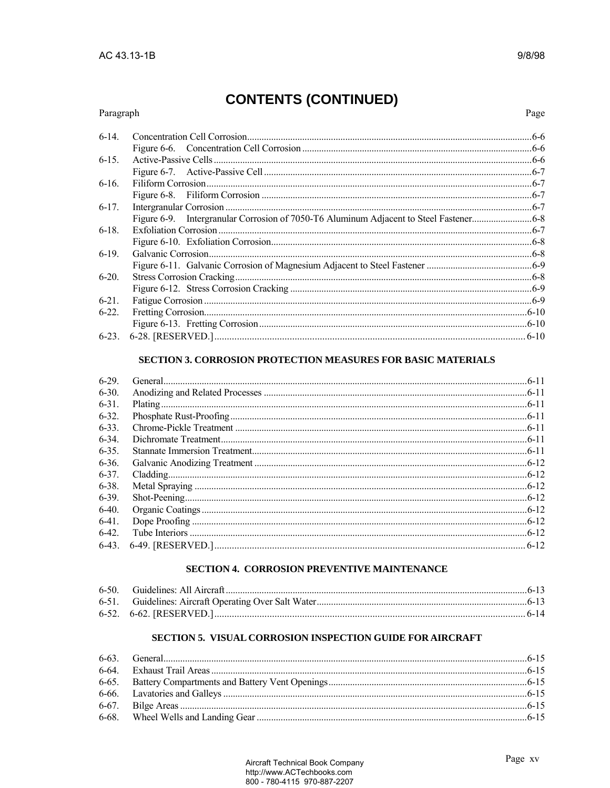#### Paragraph

9/8/98

| $6-14$ . | $.6 - 6$ |
|----------|----------|
|          |          |
| $6-15.$  |          |
|          |          |
| $6-16.$  |          |
|          |          |
| $6-17.$  |          |
|          |          |
| $6-18.$  |          |
|          |          |
| $6-19.$  |          |
|          |          |
| $6-20.$  |          |
|          |          |
| $6-21.$  |          |
| $6-22.$  |          |
|          |          |
|          | $6-10$   |

#### SECTION 3. CORROSION PROTECTION MEASURES FOR BASIC MATERIALS

| $6-29$ .   |  |
|------------|--|
| $6 - 30$   |  |
| $6 - 31$ . |  |
| $6 - 32$   |  |
| $6 - 33$ . |  |
| $6 - 34$   |  |
| $6 - 35$   |  |
| $6 - 36$   |  |
| $6 - 37$ . |  |
| $6 - 38$ . |  |
| $6 - 39$ . |  |
| $6-40.$    |  |
| $6-41$ .   |  |
| $6-42.$    |  |
|            |  |

#### SECTION 4. CORROSION PREVENTIVE MAINTENANCE

#### SECTION 5. VISUAL CORROSION INSPECTION GUIDE FOR AIRCRAFT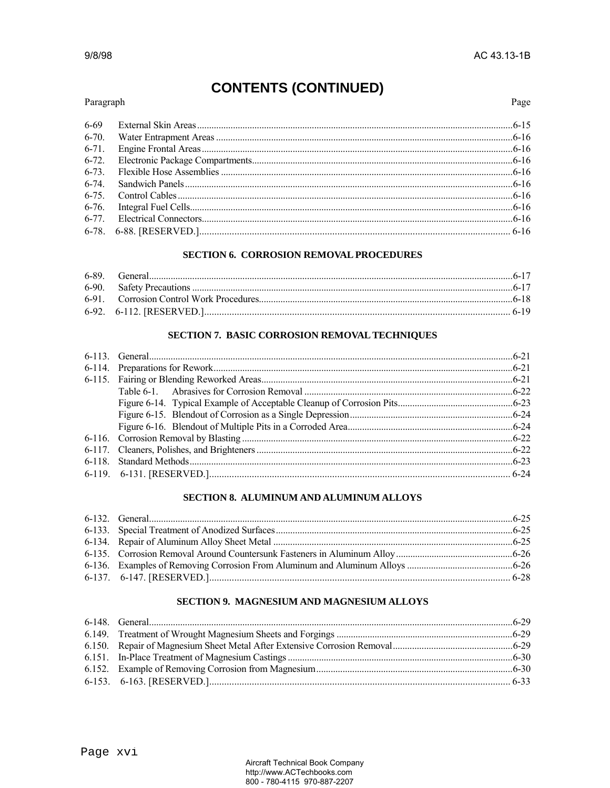#### Paragraph

Page

| 6-69      |  |
|-----------|--|
| $6 - 70.$ |  |
|           |  |
|           |  |
|           |  |
|           |  |
|           |  |
|           |  |
|           |  |
|           |  |

#### **SECTION 6. CORROSION REMOVAL PROCEDURES**

#### SECTION 7. BASIC CORROSION REMOVAL TECHNIQUES

#### SECTION 8. ALUMINUM AND ALUMINUM ALLOYS

#### **SECTION 9. MAGNESIUM AND MAGNESIUM ALLOYS**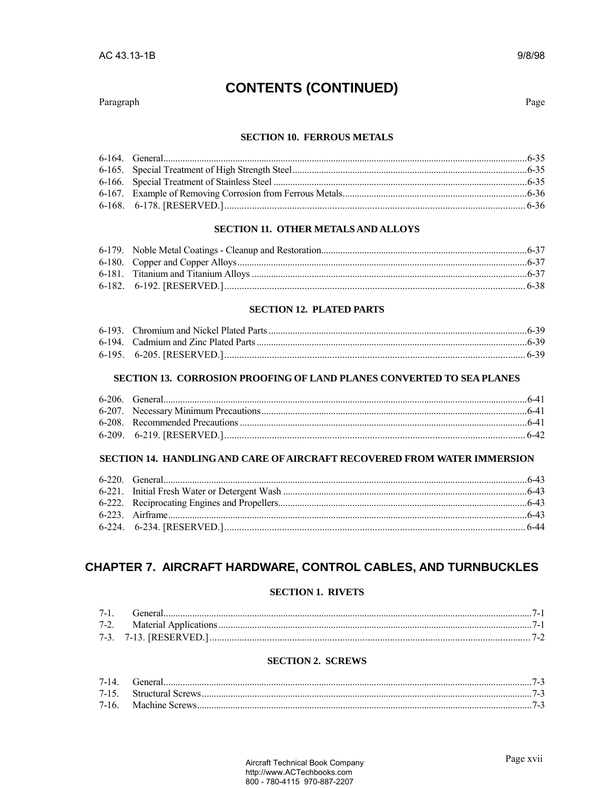#### Paragraph

Page

9/8/98

#### **SECTION 10. FERROUS METALS**

#### **SECTION 11. OTHER METALS AND ALLOYS**

#### **SECTION 12. PLATED PARTS**

#### SECTION 13. CORROSION PROOFING OF LAND PLANES CONVERTED TO SEA PLANES

#### SECTION 14. HANDLING AND CARE OF AIRCRAFT RECOVERED FROM WATER IMMERSION

### CHAPTER 7. AIRCRAFT HARDWARE, CONTROL CABLES, AND TURNBUCKLES

#### **SECTION 1. RIVETS**

| 7-1 | Generai |  |
|-----|---------|--|
|     |         |  |
|     |         |  |

#### **SECTION 2. SCREWS**

| 7-14 General |  |
|--------------|--|
|              |  |
|              |  |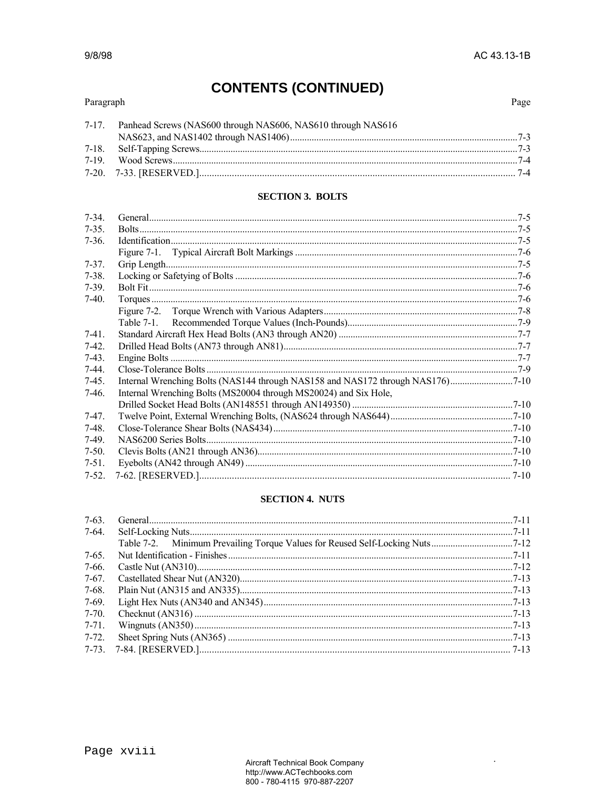$\ddot{\phantom{a}}$ 

# **CONTENTS (CONTINUED)**

### Paragraph

| 7-17. Panhead Screws (NAS600 through NAS606, NAS610 through NAS616 |  |
|--------------------------------------------------------------------|--|
|                                                                    |  |
|                                                                    |  |
|                                                                    |  |
|                                                                    |  |

#### **SECTION 3. BOLTS**

| $7 - 34$  |                                                                  |  |
|-----------|------------------------------------------------------------------|--|
| $7 - 35.$ |                                                                  |  |
| $7-36.$   |                                                                  |  |
|           |                                                                  |  |
| $7 - 37.$ |                                                                  |  |
| $7 - 38.$ |                                                                  |  |
| $7-39.$   |                                                                  |  |
| $7-40.$   |                                                                  |  |
|           |                                                                  |  |
|           |                                                                  |  |
| $7-41.$   |                                                                  |  |
| $7-42.$   |                                                                  |  |
| $7-43.$   |                                                                  |  |
| $7-44.$   |                                                                  |  |
| $7-45.$   |                                                                  |  |
| $7-46.$   | Internal Wrenching Bolts (MS20004 through MS20024) and Six Hole, |  |
|           |                                                                  |  |
| $7-47.$   |                                                                  |  |
| $7-48.$   |                                                                  |  |
| $7-49.$   |                                                                  |  |
| $7-50.$   |                                                                  |  |
| $7-51.$   |                                                                  |  |
|           |                                                                  |  |

### **SECTION 4. NUTS**

| $7-63.$   |  |
|-----------|--|
| 7-64.     |  |
|           |  |
| $7-65.$   |  |
| 7-66.     |  |
| $7-67.$   |  |
| $7-68.$   |  |
| 7-69.     |  |
| $7-70.$   |  |
| $7 - 71.$ |  |
| 7-72.     |  |
|           |  |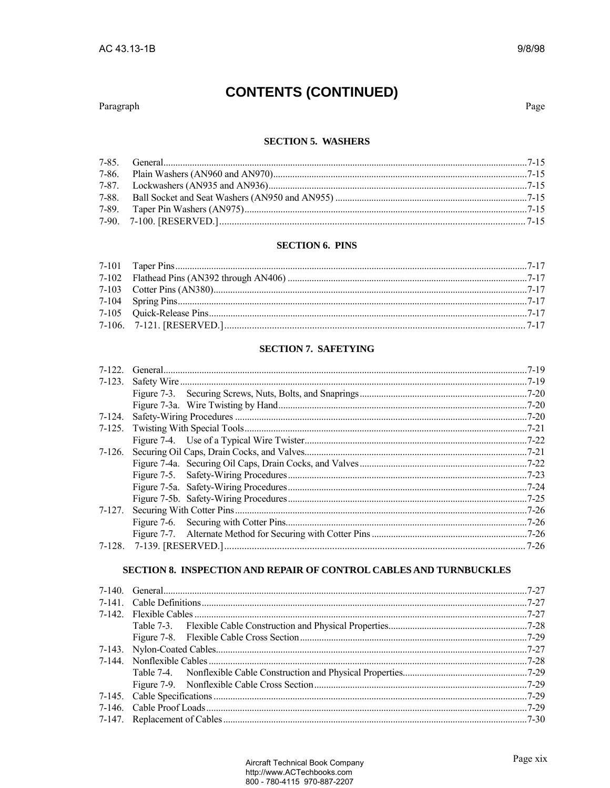#### Paragraph

Page

#### **SECTION 5. WASHERS**

#### **SECTION 6. PINS**

#### **SECTION 7. SAFETYING**

|  | $.7 - 19$ |
|--|-----------|
|  |           |
|  |           |
|  |           |
|  |           |
|  | $.7 - 21$ |
|  |           |
|  |           |
|  |           |
|  |           |
|  |           |
|  |           |
|  |           |
|  |           |
|  |           |
|  |           |
|  |           |

### SECTION 8. INSPECTION AND REPAIR OF CONTROL CABLES AND TURNBUCKLES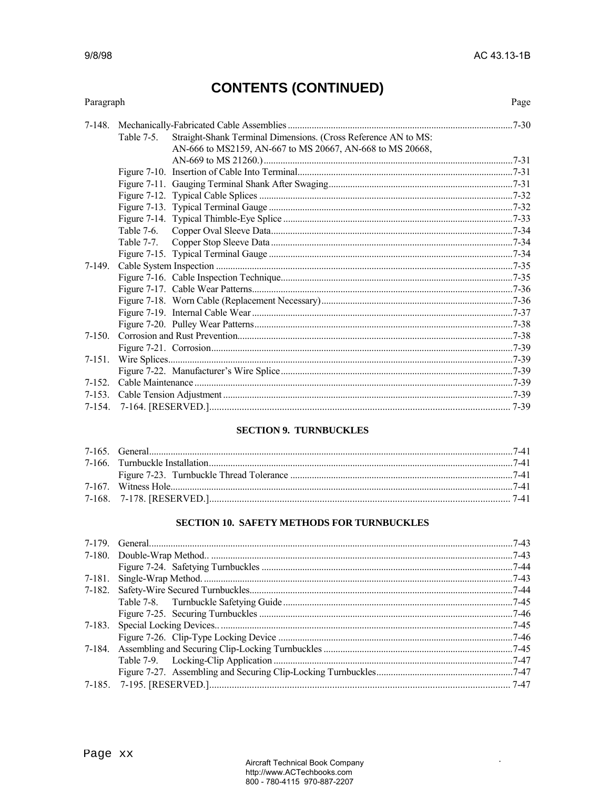$\ddot{\phantom{a}}$ 

# **CONTENTS (CONTINUED)**

### Paragraph

Page

|             | Table $7-5$ . | Straight-Shank Terminal Dimensions. (Cross Reference AN to MS: |  |
|-------------|---------------|----------------------------------------------------------------|--|
|             |               | AN-666 to MS2159, AN-667 to MS 20667, AN-668 to MS 20668,      |  |
|             |               |                                                                |  |
|             |               |                                                                |  |
|             |               |                                                                |  |
|             |               |                                                                |  |
|             |               |                                                                |  |
|             |               |                                                                |  |
|             |               |                                                                |  |
|             |               |                                                                |  |
|             |               |                                                                |  |
| 7-149.      |               |                                                                |  |
|             |               |                                                                |  |
|             |               |                                                                |  |
|             |               |                                                                |  |
|             |               |                                                                |  |
|             |               |                                                                |  |
| $7-150$ .   |               |                                                                |  |
|             |               |                                                                |  |
| 7-151.      |               |                                                                |  |
|             |               |                                                                |  |
| 7-152       |               |                                                                |  |
| $7 - 153$ . |               |                                                                |  |
|             |               |                                                                |  |

#### **SECTION 9. TURNBUCKLES**

#### SECTION 10. SAFETY METHODS FOR TURNBUCKLES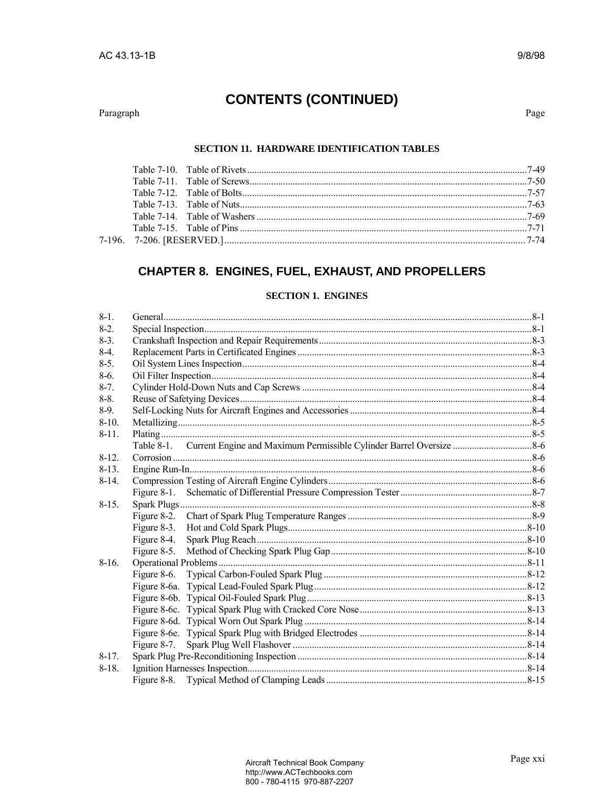Paragraph

Page

#### SECTION 11. HARDWARE IDENTIFICATION TABLES

### **CHAPTER 8. ENGINES, FUEL, EXHAUST, AND PROPELLERS**

#### **SECTION 1. ENGINES**

| $8-1$ .   |             |  |
|-----------|-------------|--|
| $8-2$ .   |             |  |
| $8-3.$    |             |  |
| $8-4$     |             |  |
| $8-5$ .   |             |  |
| $8-6.$    |             |  |
| $8-7.$    |             |  |
| $8-8.$    |             |  |
| $8-9$ .   |             |  |
| $8-10.$   |             |  |
| $8 - 11.$ |             |  |
|           |             |  |
| $8-12.$   |             |  |
| $8-13.$   |             |  |
| $8-14.$   |             |  |
|           |             |  |
| $8-15.$   |             |  |
|           |             |  |
|           | Figure 8-3. |  |
|           |             |  |
|           |             |  |
| $8-16.$   |             |  |
|           |             |  |
|           |             |  |
|           |             |  |
|           |             |  |
|           |             |  |
|           |             |  |
|           |             |  |
| $8-17.$   |             |  |
| $8-18.$   |             |  |
|           |             |  |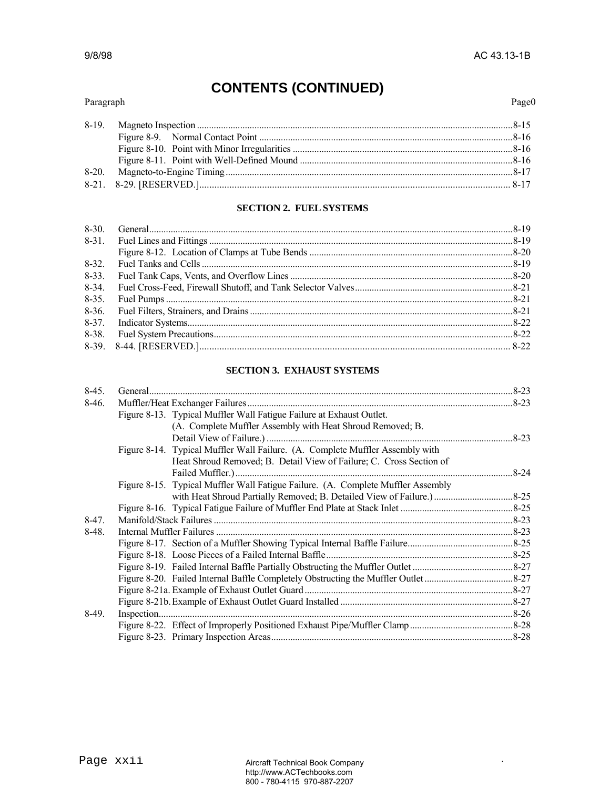.

# **CONTENTS (CONTINUED)**

#### Paragraph Page0

#### **SECTION 2. FUEL SYSTEMS**

| $8-32.$  |  |
|----------|--|
| $8-33.$  |  |
| $8-34$ . |  |
|          |  |
| $8-36$ . |  |
|          |  |
|          |  |
|          |  |
|          |  |

#### **SECTION 3. EXHAUST SYSTEMS**

| $8-45.$ |                                                                                  |          |
|---------|----------------------------------------------------------------------------------|----------|
| $8-46.$ |                                                                                  |          |
|         | Figure 8-13. Typical Muffler Wall Fatigue Failure at Exhaust Outlet.             |          |
|         | (A. Complete Muffler Assembly with Heat Shroud Removed; B.                       |          |
|         |                                                                                  |          |
|         | Figure 8-14. Typical Muffler Wall Failure. (A. Complete Muffler Assembly with    |          |
|         | Heat Shroud Removed; B. Detail View of Failure; C. Cross Section of              |          |
|         |                                                                                  | $8 - 24$ |
|         | Figure 8-15. Typical Muffler Wall Fatigue Failure. (A. Complete Muffler Assembly |          |
|         |                                                                                  |          |
|         |                                                                                  |          |
| $8-47.$ |                                                                                  |          |
| 8-48.   |                                                                                  |          |
|         |                                                                                  |          |
|         |                                                                                  |          |
|         |                                                                                  |          |
|         |                                                                                  |          |
|         |                                                                                  |          |
|         |                                                                                  |          |
| 8-49.   |                                                                                  |          |
|         |                                                                                  |          |
|         |                                                                                  |          |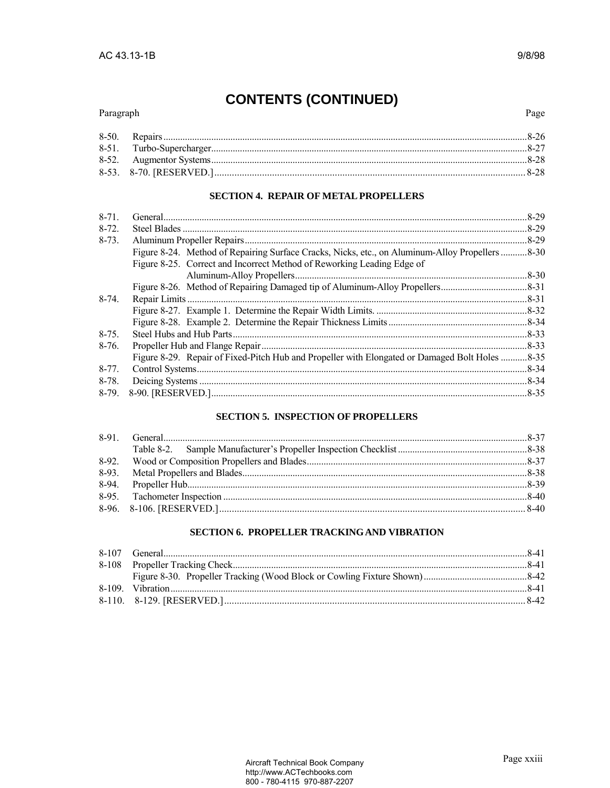#### Paragraph

#### **SECTION 4. REPAIR OF METAL PROPELLERS**

| $8 - 71$ . |                                                                                                 | $.8 - 29$ |
|------------|-------------------------------------------------------------------------------------------------|-----------|
| $8 - 72.$  |                                                                                                 | $.8 - 29$ |
| $8-73.$    |                                                                                                 | $.8 - 29$ |
|            | Figure 8-24. Method of Repairing Surface Cracks, Nicks, etc., on Aluminum-Alloy Propellers 8-30 |           |
|            | Figure 8-25. Correct and Incorrect Method of Reworking Leading Edge of                          |           |
|            |                                                                                                 | $.8 - 30$ |
|            |                                                                                                 |           |
| $8-74.$    |                                                                                                 | $.8 - 31$ |
|            |                                                                                                 |           |
|            |                                                                                                 |           |
| $8 - 75.$  |                                                                                                 | $.8-33$   |
| $8-76.$    |                                                                                                 | .8-33     |
|            | Figure 8-29. Repair of Fixed-Pitch Hub and Propeller with Elongated or Damaged Bolt Holes 8-35  |           |
| $8 - 77$ . |                                                                                                 | $.8 - 34$ |
| $8-78.$    |                                                                                                 | $.8 - 34$ |
|            |                                                                                                 |           |
|            |                                                                                                 |           |

### **SECTION 5. INSPECTION OF PROPELLERS**

### **SECTION 6. PROPELLER TRACKING AND VIBRATION**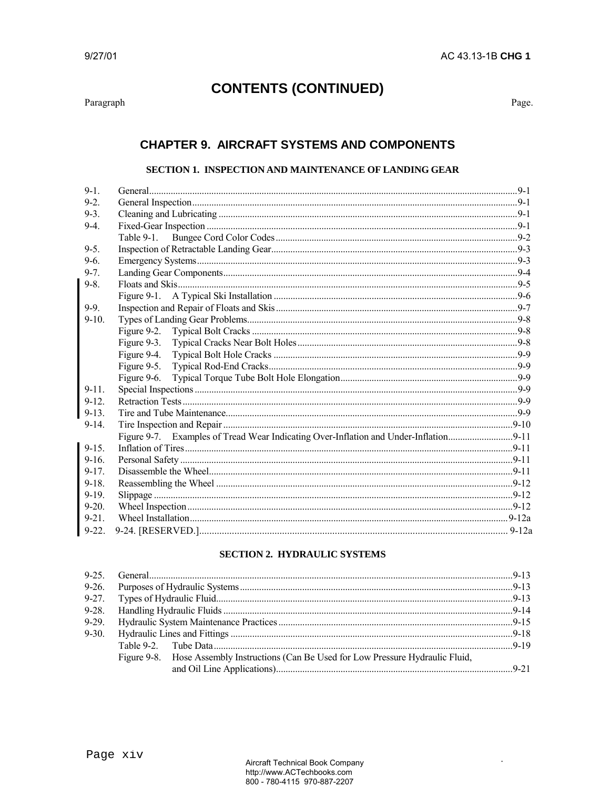$\mbox{Paragraph}$ 

Page.

### **CHAPTER 9. AIRCRAFT SYSTEMS AND COMPONENTS**

#### SECTION 1. INSPECTION AND MAINTENANCE OF LANDING GEAR

| $9-1$ .     |  |
|-------------|--|
| $9 - 2$     |  |
| $9 - 3$     |  |
| $9-4$       |  |
|             |  |
| $9 - 5$     |  |
| $9-6.$      |  |
| $9 - 7$ .   |  |
| $9 - 8$     |  |
|             |  |
| $9 - 9$ .   |  |
| $9-10.$     |  |
| Figure 9-2. |  |
| Figure 9-3. |  |
| Figure 9-4. |  |
| Figure 9-5. |  |
| Figure 9-6. |  |
| $9 - 11$ .  |  |
| $9 - 12$    |  |
| $9 - 13$ .  |  |
| $9-14.$     |  |
|             |  |
| $9 - 15$ .  |  |
| $9-16.$     |  |
| $9 - 17$ .  |  |
| $9 - 18$ .  |  |
| $9-19.$     |  |
| $9 - 20$ .  |  |
| $9 - 21$    |  |
|             |  |

#### **SECTION 2. HYDRAULIC SYSTEMS**

| Figure 9-8. Hose Assembly Instructions (Can Be Used for Low Pressure Hydraulic Fluid, |  |
|---------------------------------------------------------------------------------------|--|
|                                                                                       |  |
|                                                                                       |  |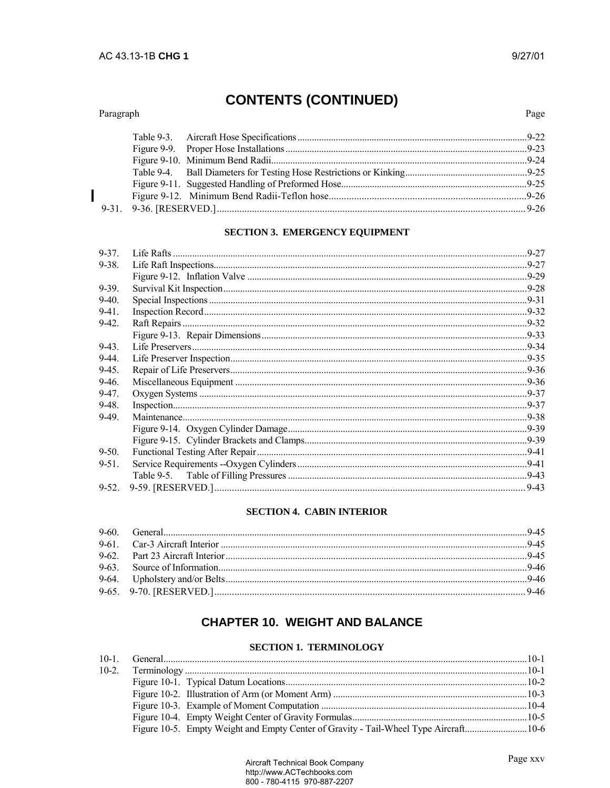#### Paragraph

#### **SECTION 3. EMERGENCY EQUIPMENT**

| 9-38.<br>$9 - 39.$<br>$9-40.$<br>$9-41.$<br>$9-42.$<br>$9-43.$<br>$9-44$ .<br>$9-45.$<br>$9-46.$<br>$9-47.$<br>$9-48.$<br>$9-49.$<br>$9 - 50.$<br>$9 - 51$ .<br>$.9-43$ | $9 - 37$ . |  |
|-------------------------------------------------------------------------------------------------------------------------------------------------------------------------|------------|--|
|                                                                                                                                                                         |            |  |
|                                                                                                                                                                         |            |  |
|                                                                                                                                                                         |            |  |
|                                                                                                                                                                         |            |  |
|                                                                                                                                                                         |            |  |
|                                                                                                                                                                         |            |  |
|                                                                                                                                                                         |            |  |
|                                                                                                                                                                         |            |  |
|                                                                                                                                                                         |            |  |
|                                                                                                                                                                         |            |  |
|                                                                                                                                                                         |            |  |
|                                                                                                                                                                         |            |  |
|                                                                                                                                                                         |            |  |
|                                                                                                                                                                         |            |  |
|                                                                                                                                                                         |            |  |
|                                                                                                                                                                         |            |  |
|                                                                                                                                                                         |            |  |
|                                                                                                                                                                         |            |  |
|                                                                                                                                                                         |            |  |
|                                                                                                                                                                         |            |  |

#### **SECTION 4. CABIN INTERIOR**

### **CHAPTER 10. WEIGHT AND BALANCE**

#### **SECTION 1. TERMINOLOGY**

|  | <u>beciton in illuminologi</u>                                                       |  |
|--|--------------------------------------------------------------------------------------|--|
|  |                                                                                      |  |
|  |                                                                                      |  |
|  |                                                                                      |  |
|  |                                                                                      |  |
|  |                                                                                      |  |
|  |                                                                                      |  |
|  | Figure 10-5. Empty Weight and Empty Center of Gravity - Tail-Wheel Type Aircraft10-6 |  |
|  |                                                                                      |  |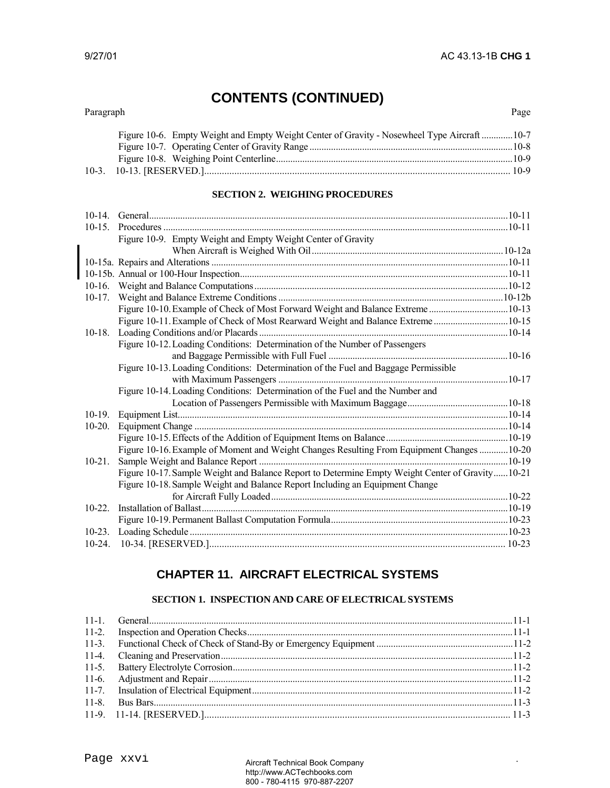| Paragraph |  | Page |
|-----------|--|------|
|           |  |      |

.

| Figure 10-6. Empty Weight and Empty Weight Center of Gravity - Nosewheel Type Aircraft10-7 |  |
|--------------------------------------------------------------------------------------------|--|
|                                                                                            |  |
|                                                                                            |  |
|                                                                                            |  |

#### **SECTION 2. WEIGHING PROCEDURES**

| $10-15$ . |                                                                                                  |  |
|-----------|--------------------------------------------------------------------------------------------------|--|
|           | Figure 10-9. Empty Weight and Empty Weight Center of Gravity                                     |  |
|           |                                                                                                  |  |
|           |                                                                                                  |  |
|           |                                                                                                  |  |
|           |                                                                                                  |  |
| $10-17.$  |                                                                                                  |  |
|           | Figure 10-10. Example of Check of Most Forward Weight and Balance Extreme10-13                   |  |
|           | Figure 10-11. Example of Check of Most Rearward Weight and Balance Extreme10-15                  |  |
| $10-18.$  |                                                                                                  |  |
|           | Figure 10-12. Loading Conditions: Determination of the Number of Passengers                      |  |
|           |                                                                                                  |  |
|           | Figure 10-13. Loading Conditions: Determination of the Fuel and Baggage Permissible              |  |
|           |                                                                                                  |  |
|           | Figure 10-14. Loading Conditions: Determination of the Fuel and the Number and                   |  |
|           |                                                                                                  |  |
| $10-19.$  |                                                                                                  |  |
| $10-20.$  |                                                                                                  |  |
|           |                                                                                                  |  |
|           | Figure 10-16. Example of Moment and Weight Changes Resulting From Equipment Changes  10-20       |  |
| $10-21.$  |                                                                                                  |  |
|           | Figure 10-17. Sample Weight and Balance Report to Determine Empty Weight Center of Gravity 10-21 |  |
|           | Figure 10-18. Sample Weight and Balance Report Including an Equipment Change                     |  |
|           |                                                                                                  |  |
| $10 - 22$ |                                                                                                  |  |
|           |                                                                                                  |  |
|           |                                                                                                  |  |
|           |                                                                                                  |  |

### **CHAPTER 11. AIRCRAFT ELECTRICAL SYSTEMS**

#### **SECTION 1. INSPECTION AND CARE OF ELECTRICAL SYSTEMS**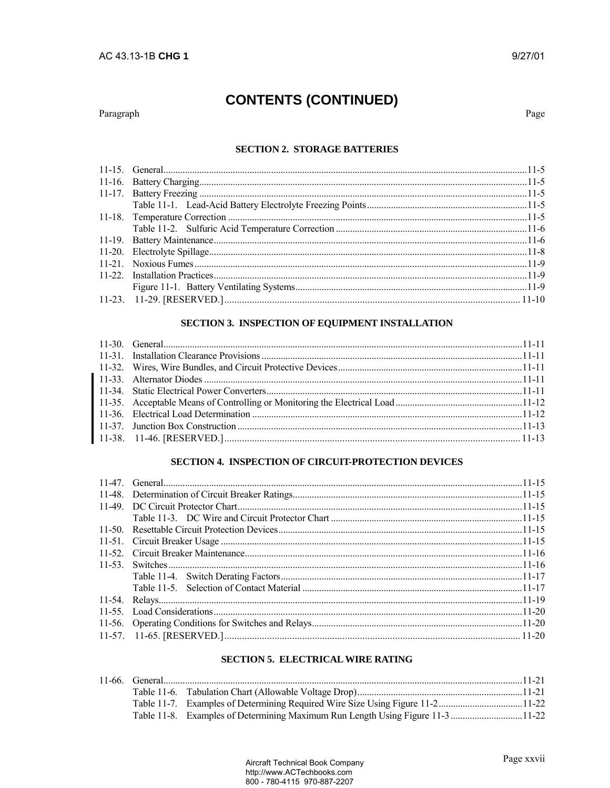#### Paragraph

Page

### **SECTION 2. STORAGE BATTERIES**

#### SECTION 3. INSPECTION OF EQUIPMENT INSTALLATION

#### SECTION 4. INSPECTION OF CIRCUIT-PROTECTION DEVICES

#### **SECTION 5. ELECTRICAL WIRE RATING**

|  | Table 11-8. Examples of Determining Maximum Run Length Using Figure 11-3 11-22 |  |
|--|--------------------------------------------------------------------------------|--|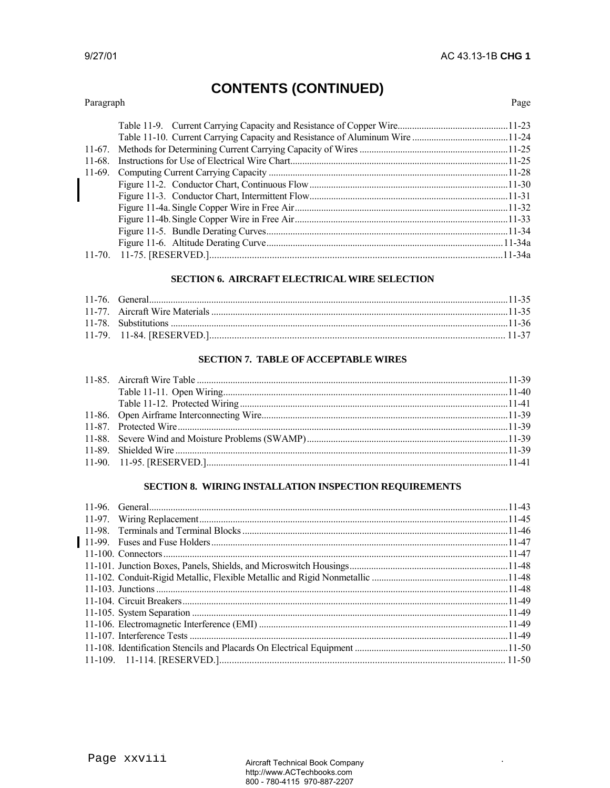#### Paragraph

Page

| $11-68$ . |  |
|-----------|--|
|           |  |
|           |  |
|           |  |
|           |  |
|           |  |
|           |  |
|           |  |
|           |  |

#### SECTION 6. AIRCRAFT ELECTRICAL WIRE SELECTION

#### **SECTION 7. TABLE OF ACCEPTABLE WIRES**

#### SECTION 8. WIRING INSTALLATION INSPECTION REQUIREMENTS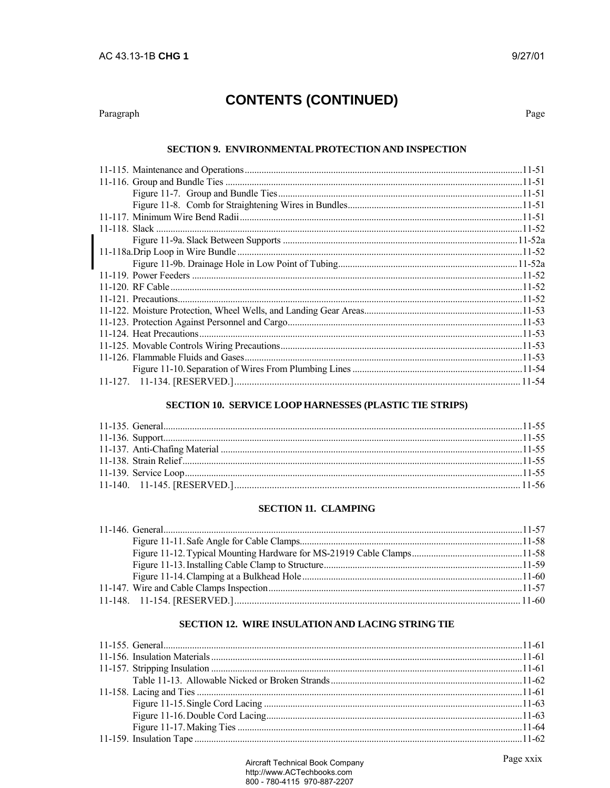#### Paragraph

Page

#### SECTION 9. ENVIRONMENTAL PROTECTION AND INSPECTION

#### SECTION 10. SERVICE LOOP HARNESSES (PLASTIC TIE STRIPS)

#### **SECTION 11. CLAMPING**

### SECTION 12. WIRE INSULATION AND LACING STRING TIE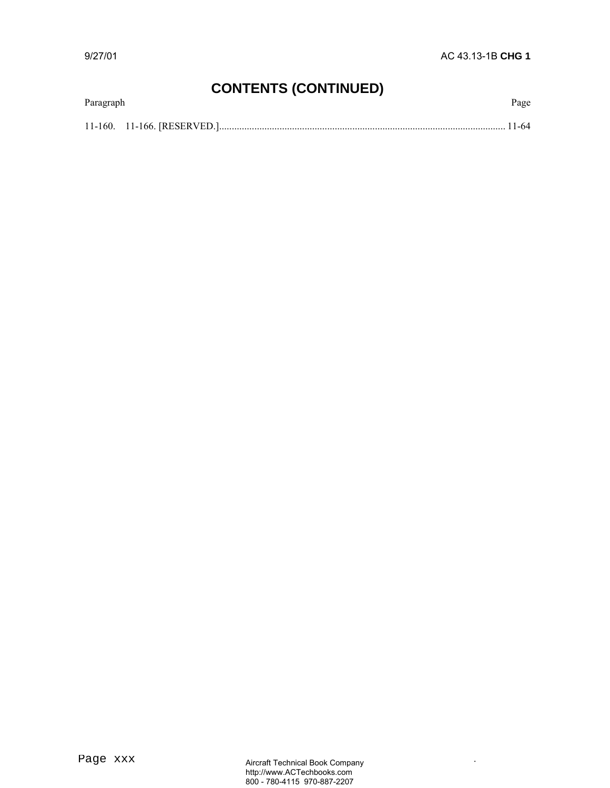| Paragraph | Page |
|-----------|------|
|           |      |

.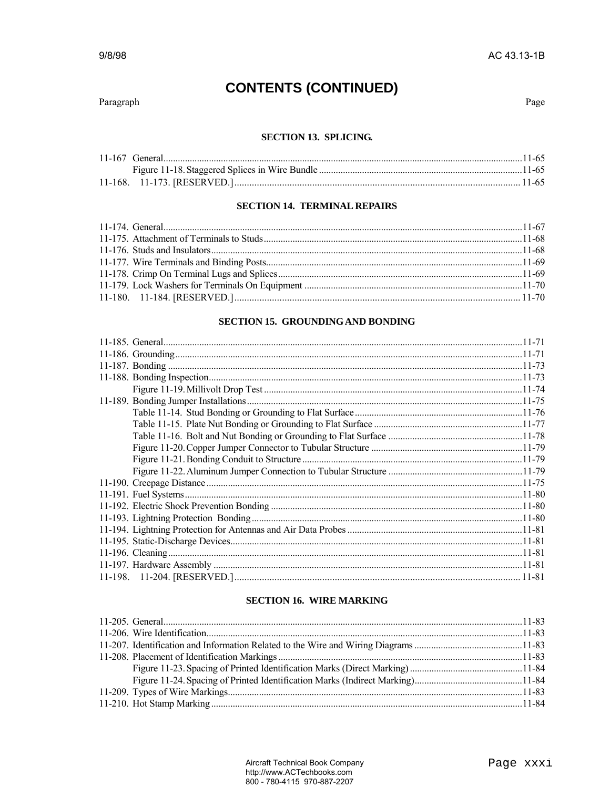#### Paragraph

Page

#### **SECTION 13. SPLICING.**

#### **SECTION 14. TERMINAL REPAIRS**

#### SECTION 15. GROUNDING AND BONDING

#### **SECTION 16. WIRE MARKING**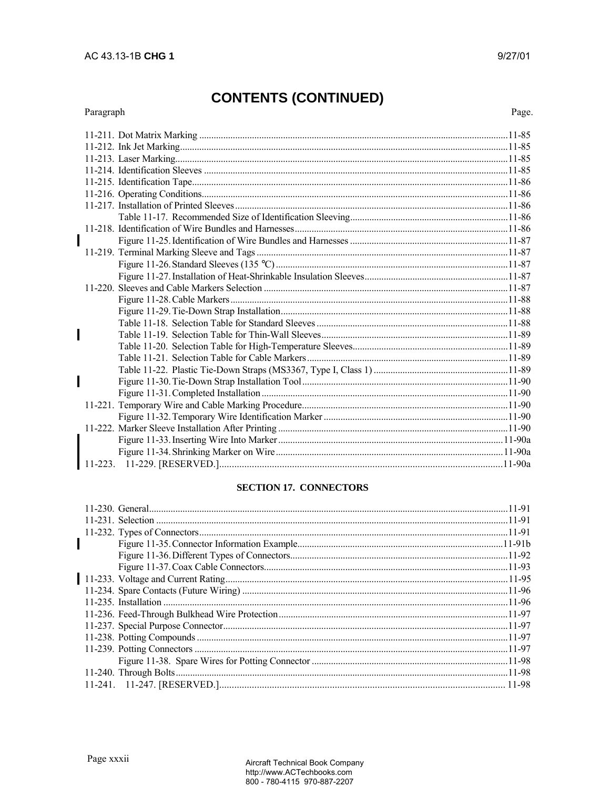#### Paragraph

Page.

#### **SECTION 17. CONNECTORS**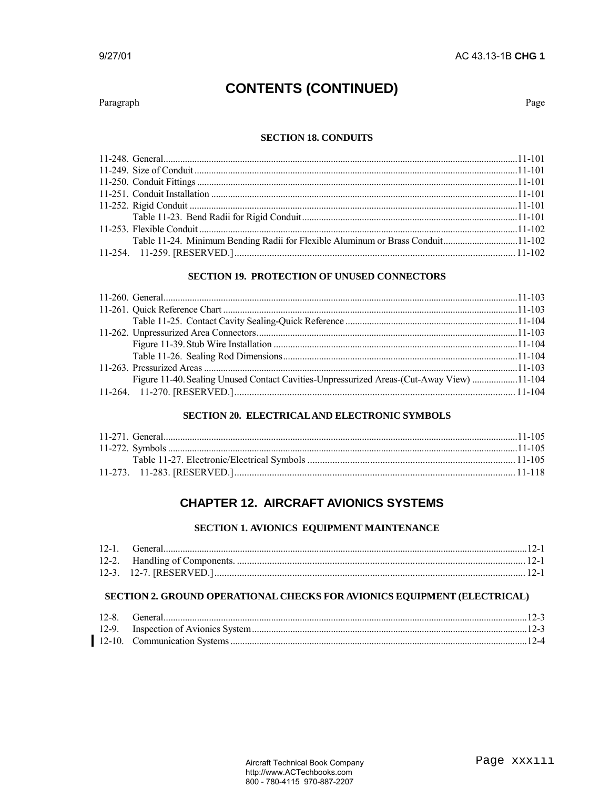Paragraph

Page

#### **SECTION 18. CONDUITS**

| Table 11-24. Minimum Bending Radii for Flexible Aluminum or Brass Conduit11-102 |  |
|---------------------------------------------------------------------------------|--|
|                                                                                 |  |
|                                                                                 |  |

#### **SECTION 19. PROTECTION OF UNUSED CONNECTORS**

| Figure 11-40. Sealing Unused Contact Cavities-Unpressurized Areas-(Cut-Away View) 11-104 |  |
|------------------------------------------------------------------------------------------|--|
|                                                                                          |  |

#### **SECTION 20. ELECTRICAL AND ELECTRONIC SYMBOLS**

### **CHAPTER 12. AIRCRAFT AVIONICS SYSTEMS**

#### SECTION 1. AVIONICS EQUIPMENT MAINTENANCE

#### SECTION 2. GROUND OPERATIONAL CHECKS FOR AVIONICS EQUIPMENT (ELECTRICAL)

| 12-8 | General |  |
|------|---------|--|
|      |         |  |
|      |         |  |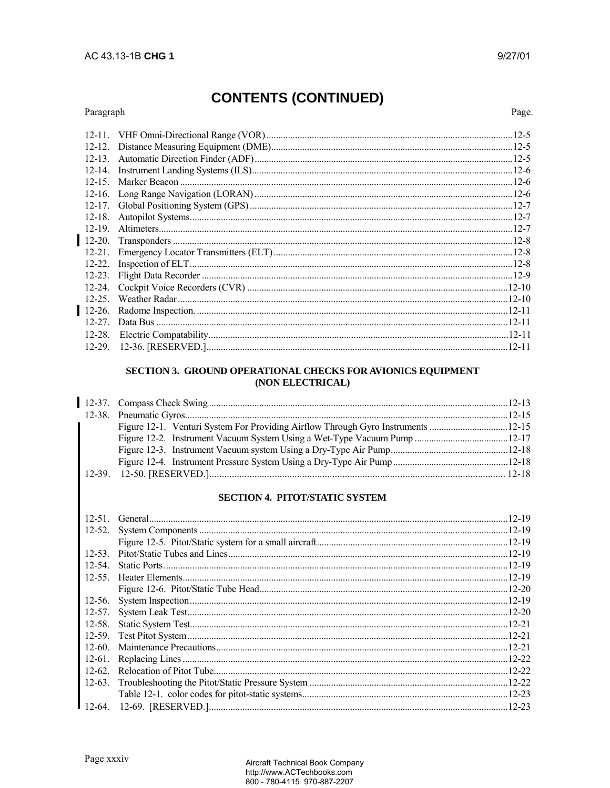#### Paragraph

Page.

| $12 - 11$ . |           |
|-------------|-----------|
| $12 - 12$   |           |
| $12 - 13$ . |           |
| $12 - 14$ . | $12-6$    |
| $12 - 15$ . |           |
| $12 - 16$ . |           |
| $12 - 17$ . |           |
| $12 - 18$ . |           |
| $12 - 19$   |           |
| $12-20.$    |           |
| $12 - 21$ . |           |
| $12 - 22$ . |           |
| $12 - 23$ . |           |
| $12 - 24$ . |           |
| $12 - 25$ . |           |
| $12-26.$    |           |
| $12 - 27$   |           |
| $12 - 28$ . |           |
|             | $12 - 11$ |
|             |           |

#### SECTION 3. GROUND OPERATIONAL CHECKS FOR AVIONICS EQUIPMENT (NON ELECTRICAL)

|  | Figure 12-1. Venturi System For Providing Airflow Through Gyro Instruments 12-15 |  |
|--|----------------------------------------------------------------------------------|--|
|  |                                                                                  |  |
|  |                                                                                  |  |
|  |                                                                                  |  |
|  |                                                                                  |  |

### SECTION 4. PITOT/STATIC SYSTEM

| $12 - 51$   | 12-19      |
|-------------|------------|
| $12 - 52$ . |            |
|             |            |
| $12 - 53$   |            |
| $12 - 54$   |            |
| $12 - 55$ . |            |
|             |            |
| $12-56.$    |            |
| $12 - 57$ . |            |
| $12 - 58$ . |            |
| $12 - 59.$  |            |
| $12 - 60$ . |            |
| $12-61.$    |            |
| $12 - 62$   | $.12 - 22$ |
| $12-63.$    |            |
|             |            |
|             | $12 - 23$  |